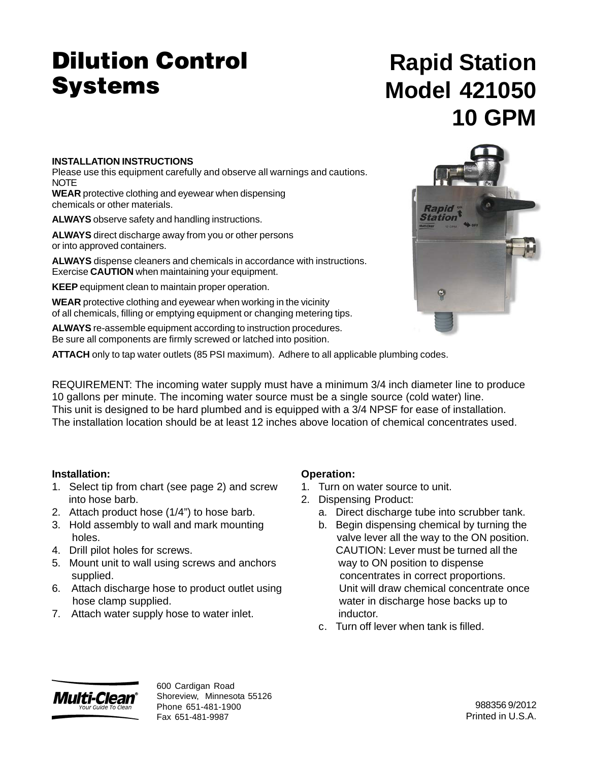# **Dilution Control Systems**

# **Rapid Station Model 421050 10 GPM**

### **INSTALLATION INSTRUCTIONS**

Please use this equipment carefully and observe all warnings and cautions. **NOTE** 

**WEAR** protective clothing and eyewear when dispensing chemicals or other materials.

**ALWAYS** observe safety and handling instructions.

**ALWAYS** direct discharge away from you or other persons or into approved containers.

**ALWAYS** dispense cleaners and chemicals in accordance with instructions. Exercise **CAUTION** when maintaining your equipment.

**KEEP** equipment clean to maintain proper operation.

**WEAR** protective clothing and eyewear when working in the vicinity of all chemicals, filling or emptying equipment or changing metering tips.

**ALWAYS** re-assemble equipment according to instruction procedures. Be sure all components are firmly screwed or latched into position.

**ATTACH** only to tap water outlets (85 PSI maximum). Adhere to all applicable plumbing codes.

REQUIREMENT: The incoming water supply must have a minimum 3/4 inch diameter line to produce 10 gallons per minute. The incoming water source must be a single source (cold water) line. This unit is designed to be hard plumbed and is equipped with a 3/4 NPSF for ease of installation. The installation location should be at least 12 inches above location of chemical concentrates used.

### **Installation:**

- 1. Select tip from chart (see page 2) and screw into hose barb.
- 2. Attach product hose (1/4") to hose barb.
- 3. Hold assembly to wall and mark mounting holes.
- 4. Drill pilot holes for screws.
- 5. Mount unit to wall using screws and anchors supplied.
- 6. Attach discharge hose to product outlet using hose clamp supplied.
- 7. Attach water supply hose to water inlet.

### **Operation:**

- 1. Turn on water source to unit.
- 2. Dispensing Product:
	- a. Direct discharge tube into scrubber tank.
	- b. Begin dispensing chemical by turning the valve lever all the way to the ON position. CAUTION: Lever must be turned all the way to ON position to dispense concentrates in correct proportions. Unit will draw chemical concentrate once water in discharge hose backs up to inductor.
	- c. Turn off lever when tank is filled.



600 Cardigan Road Shoreview, Minnesota 55126 Phone 651-481-1900 Fax 651-481-9987

988356 9/2012 Printed in U.S.A.